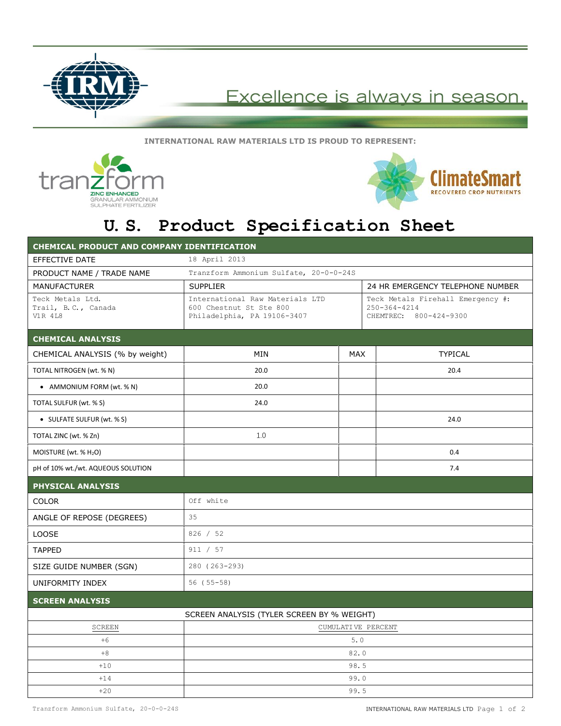

## Excellence is always in season

**INTERNATIONAL RAW MATERIALS LTD IS PROUD TO REPRESENT:**





## **U.S. Product Specification Sheet**

| <b>CHEMICAL PRODUCT AND COMPANY IDENTIFICATION</b>        |                                                                                           |            |                                                                                   |  |
|-----------------------------------------------------------|-------------------------------------------------------------------------------------------|------------|-----------------------------------------------------------------------------------|--|
| EFFECTIVE DATE                                            | 18 April 2013                                                                             |            |                                                                                   |  |
| PRODUCT NAME / TRADE NAME                                 | Tranzform Ammonium Sulfate, 20-0-0-24S                                                    |            |                                                                                   |  |
| <b>MANUFACTURER</b>                                       | <b>SUPPLIER</b>                                                                           |            | 24 HR EMERGENCY TELEPHONE NUMBER                                                  |  |
| Teck Metals Ltd.<br>Trail, B.C., Canada<br><b>V1R 4L8</b> | International Raw Materials LTD<br>600 Chestnut St Ste 800<br>Philadelphia, PA 19106-3407 |            | Teck Metals Firehall Emergency #:<br>$250 - 364 - 4214$<br>CHEMTREC: 800-424-9300 |  |
| <b>CHEMICAL ANALYSIS</b>                                  |                                                                                           |            |                                                                                   |  |
| CHEMICAL ANALYSIS (% by weight)                           | <b>MIN</b>                                                                                | <b>MAX</b> | <b>TYPICAL</b>                                                                    |  |
| TOTAL NITROGEN (wt. % N)                                  | 20.0                                                                                      |            | 20.4                                                                              |  |
| • AMMONIUM FORM (wt. % N)                                 | 20.0                                                                                      |            |                                                                                   |  |
| TOTAL SULFUR (wt. % S)                                    | 24.0                                                                                      |            |                                                                                   |  |
| • SULFATE SULFUR (wt. % S)                                |                                                                                           |            | 24.0                                                                              |  |
| TOTAL ZINC (wt. % Zn)                                     | 1.0                                                                                       |            |                                                                                   |  |
| MOISTURE (wt. $%$ H <sub>2</sub> O)                       |                                                                                           |            | 0.4                                                                               |  |
| pH of 10% wt./wt. AQUEOUS SOLUTION                        |                                                                                           |            | 7.4                                                                               |  |
| <b>PHYSICAL ANALYSIS</b>                                  |                                                                                           |            |                                                                                   |  |
| <b>COLOR</b>                                              | Off white                                                                                 |            |                                                                                   |  |
| ANGLE OF REPOSE (DEGREES)                                 | 35                                                                                        |            |                                                                                   |  |
| <b>LOOSE</b>                                              | 826 / 52                                                                                  |            |                                                                                   |  |
| <b>TAPPED</b>                                             | 911 / 57                                                                                  |            |                                                                                   |  |
| SIZE GUIDE NUMBER (SGN)                                   | 280 (263-293)                                                                             |            |                                                                                   |  |
| UNIFORMITY INDEX                                          | $56(55-58)$                                                                               |            |                                                                                   |  |
| <b>SCREEN ANALYSIS</b>                                    |                                                                                           |            |                                                                                   |  |
|                                                           | SCREEN ANALYSIS (TYLER SCREEN BY % WEIGHT)                                                |            |                                                                                   |  |
| SCREEN                                                    | CUMULATIVE PERCENT                                                                        |            |                                                                                   |  |
| $+6$                                                      | 5.0                                                                                       |            |                                                                                   |  |
| $+8$                                                      | 82.0                                                                                      |            |                                                                                   |  |
| $+10$                                                     | 98.5                                                                                      |            |                                                                                   |  |
| $+14$                                                     | 99.0                                                                                      |            |                                                                                   |  |
| $+20$                                                     |                                                                                           | 99.5       |                                                                                   |  |